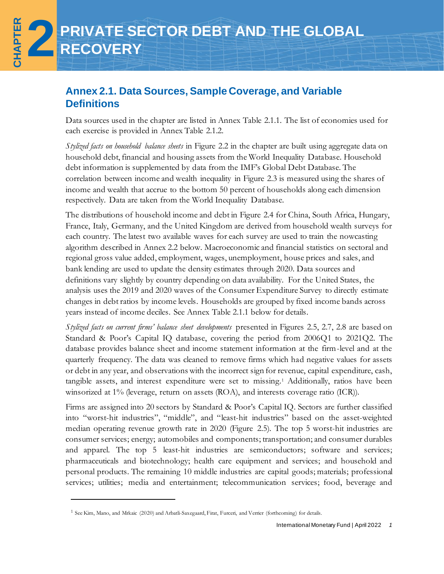# **PRIVATE SECTOR DEBT AND THE GLOBAL RECOVERY**

**Online Annex**

**CHAPTER 2**

# **Annex 2.1. Data Sources, Sample Coverage, and Variable Definitions**

Data sources used in the chapter are listed in Annex Table 2.1.1. The list of economies used for each exercise is provided in Annex Table 2.1.2.

*Stylized facts on household balance sheets* in Figure 2.2 in the chapter are built using aggregate data on household debt, financial and housing assets from the World Inequality Database. Household debt information is supplemented by data from the IMF's Global Debt Database. The correlation between income and wealth inequality in Figure 2.3 is measured using the shares of income and wealth that accrue to the bottom 50 percent of households along each dimension respectively. Data are taken from the World Inequality Database.

The distributions of household income and debt in Figure 2.4 for China, South Africa, Hungary, France, Italy, Germany, and the United Kingdom are derived from household wealth surveys for each country. The latest two available waves for each survey are used to train the nowcasting algorithm described in Annex 2.2 below. Macroeconomic and financial statistics on sectoral and regional gross value added, employment, wages, unemployment, house prices and sales, and bank lending are used to update the density estimates through 2020. Data sources and definitions vary slightly by country depending on data availability. For the United States, the analysis uses the 2019 and 2020 waves of the Consumer Expenditure Survey to directly estimate changes in debt ratios by income levels. Households are grouped by fixed income bands across years instead of income deciles. See Annex Table 2.1.1 below for details.

*Stylized facts on current firms' balance sheet developments* presented in Figures 2.5, 2.7, 2.8 are based on Standard & Poor's Capital IQ database, covering the period from 2006Q1 to 2021Q2. The database provides balance sheet and income statement information at the firm-level and at the quarterly frequency. The data was cleaned to remove firms which had negative values for assets or debt in any year, and observations with the incorrect sign for revenue, capital expenditure, cash, tangible assets, and interest expenditure were set to missing.<sup>1</sup> Additionally, ratios have been winsorized at 1% (leverage, return on assets (ROA), and interests coverage ratio (ICR)).

Firms are assigned into 20 sectors by Standard & Poor's Capital IQ. Sectors are further classified into "worst-hit industries", "middle", and "least-hit industries" based on the asset-weighted median operating revenue growth rate in 2020 (Figure 2.5). The top 5 worst-hit industries are consumer services; energy; automobiles and components; transportation; and consumer durables and apparel. The top 5 least-hit industries are semiconductors; software and services; pharmaceuticals and biotechnology; health care equipment and services; and household and personal products. The remaining 10 middle industries are capital goods; materials; professional services; utilities; media and entertainment; telecommunication services; food, beverage and

<sup>1</sup> See Kim, Mano, and Mrkaic (2020) and Arbatli-Saxegaard, Firat, Furceri, and Verrier (forthcoming) for details.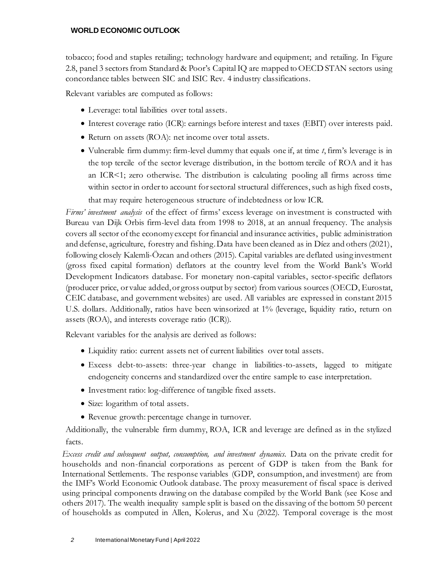tobacco; food and staples retailing; technology hardware and equipment; and retailing. In Figure 2.8, panel 3 sectors from Standard & Poor's Capital IQ are mapped to OECD STAN sectors using concordance tables between SIC and ISIC Rev. 4 industry classifications.

Relevant variables are computed as follows:

- Leverage: total liabilities over total assets.
- Interest coverage ratio (ICR): earnings before interest and taxes (EBIT) over interests paid.
- Return on assets (ROA): net income over total assets.
- Vulnerable firm dummy: firm-level dummy that equals one if, at time *t*, firm's leverage is in the top tercile of the sector leverage distribution, in the bottom tercile of ROA and it has an ICR<1; zero otherwise. The distribution is calculating pooling all firms across time within sector in order to account for sectoral structural differences, such as high fixed costs, that may require heterogeneous structure of indebtedness or low ICR.

*Firms' investment analysis* of the effect of firms' excess leverage on investment is constructed with Bureau van Dijk Orbis firm-level data from 1998 to 2018, at an annual frequency. The analysis covers all sector of the economy except for financial and insurance activities, public administration and defense, agriculture, forestry and fishing. Data have been cleaned as in Díez and others(2021), following closely Kalemli-Özcan and others (2015). Capital variables are deflated using investment (gross fixed capital formation) deflators at the country level from the World Bank's World Development Indicators database. For monetary non-capital variables, sector-specific deflators (producer price, or value added, or gross output by sector) from various sources (OECD, Eurostat, CEIC database, and government websites) are used. All variables are expressed in constant 2015 U.S. dollars. Additionally, ratios have been winsorized at 1% (leverage, liquidity ratio, return on assets (ROA), and interests coverage ratio (ICR)).

Relevant variables for the analysis are derived as follows:

- Liquidity ratio: current assets net of current liabilities over total assets.
- Excess debt-to-assets: three-year change in liabilities-to-assets, lagged to mitigate endogeneity concerns and standardized over the entire sample to ease interpretation.
- Investment ratio: log-difference of tangible fixed assets.
- Size: logarithm of total assets.
- Revenue growth: percentage change in turnover.

Additionally, the vulnerable firm dummy, ROA, ICR and leverage are defined as in the stylized facts.

*Excess credit and subsequent output, consumption, and investment dynamics.* Data on the private credit for households and non-financial corporations as percent of GDP is taken from the Bank for International Settlements. The response variables (GDP, consumption, and investment) are from the IMF's World Economic Outlook database. The proxy measurement of fiscal space is derived using principal components drawing on the database compiled by the World Bank (see Kose and others 2017). The wealth inequality sample split is based on the dissaving of the bottom 50 percent of households as computed in Allen, Kolerus, and Xu (2022). Temporal coverage is the most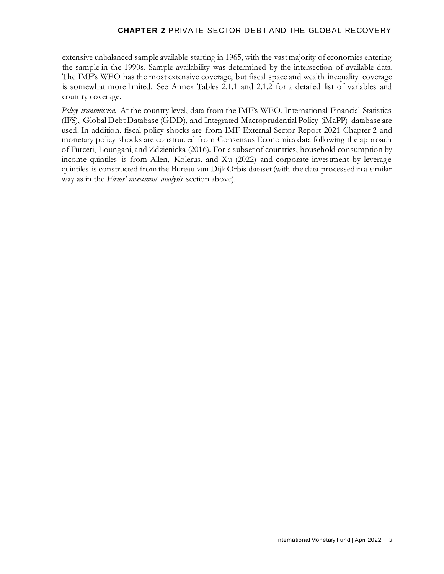extensive unbalanced sample available starting in 1965, with the vast majority of economies entering the sample in the 1990s. Sample availability was determined by the intersection of available data. The IMF's WEO has the most extensive coverage, but fiscal space and wealth inequality coverage is somewhat more limited. See Annex Tables 2.1.1 and 2.1.2 for a detailed list of variables and country coverage.

*Policy transmission.* At the country level, data from the IMF's WEO, International Financial Statistics (IFS), Global Debt Database (GDD), and Integrated Macroprudential Policy (iMaPP) database are used. In addition, fiscal policy shocks are from IMF External Sector Report 2021 Chapter 2 and monetary policy shocks are constructed from Consensus Economics data following the approach of Furceri, Loungani, and Zdzienicka (2016). For a subset of countries, household consumption by income quintiles is from Allen, Kolerus, and Xu (2022) and corporate investment by leverage quintiles is constructed from the Bureau van Dijk Orbis dataset (with the data processed in a similar way as in the *Firms' investment analysis* section above).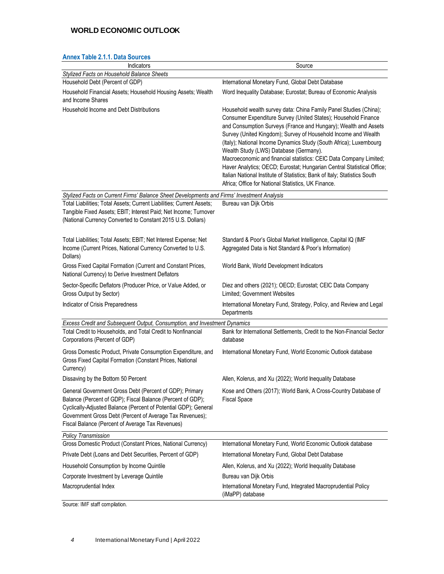|  | <b>Annex Table 2.1.1. Data Sources</b> |  |
|--|----------------------------------------|--|
|--|----------------------------------------|--|

| Indicators                                                                                                                                                                                                                                                                                               | Source                                                                                                                                                                                                                                                                                                                                                                                                                                                                                                                                                                                                                                                                       |
|----------------------------------------------------------------------------------------------------------------------------------------------------------------------------------------------------------------------------------------------------------------------------------------------------------|------------------------------------------------------------------------------------------------------------------------------------------------------------------------------------------------------------------------------------------------------------------------------------------------------------------------------------------------------------------------------------------------------------------------------------------------------------------------------------------------------------------------------------------------------------------------------------------------------------------------------------------------------------------------------|
| Stylized Facts on Household Balance Sheets<br>Household Debt (Percent of GDP)                                                                                                                                                                                                                            | International Monetary Fund, Global Debt Database                                                                                                                                                                                                                                                                                                                                                                                                                                                                                                                                                                                                                            |
| Household Financial Assets; Household Housing Assets; Wealth                                                                                                                                                                                                                                             | Word Inequality Database; Eurostat; Bureau of Economic Analysis                                                                                                                                                                                                                                                                                                                                                                                                                                                                                                                                                                                                              |
| and Income Shares                                                                                                                                                                                                                                                                                        |                                                                                                                                                                                                                                                                                                                                                                                                                                                                                                                                                                                                                                                                              |
| Household Income and Debt Distributions                                                                                                                                                                                                                                                                  | Household wealth survey data: China Family Panel Studies (China);<br>Consumer Expenditure Survey (United States); Household Finance<br>and Consumption Surveys (France and Hungary); Wealth and Assets<br>Survey (United Kingdom); Survey of Household Income and Wealth<br>(Italy); National Income Dynamics Study (South Africa); Luxembourg<br>Wealth Study (LWS) Database (Germany).<br>Macroeconomic and financial statistics: CEIC Data Company Limited;<br>Haver Analytics; OECD; Eurostat; Hungarian Central Statistical Office;<br>Italian National Institute of Statistics; Bank of Italy; Statistics South<br>Africa; Office for National Statistics, UK Finance. |
| Stylized Facts on Current Firms' Balance Sheet Developments and Firms' Investment Analysis                                                                                                                                                                                                               |                                                                                                                                                                                                                                                                                                                                                                                                                                                                                                                                                                                                                                                                              |
| Total Liabilities; Total Assets; Current Liabilities; Current Assets;<br>Tangible Fixed Assets; EBIT; Interest Paid; Net Income; Turnover<br>(National Currency Converted to Constant 2015 U.S. Dollars)                                                                                                 | Bureau van Dijk Orbis                                                                                                                                                                                                                                                                                                                                                                                                                                                                                                                                                                                                                                                        |
| Total Liabilities; Total Assets; EBIT; Net Interest Expense; Net<br>Income (Current Prices, National Currency Converted to U.S.<br>Dollars)                                                                                                                                                              | Standard & Poor's Global Market Intelligence, Capital IQ (IMF<br>Aggregated Data is Not Standard & Poor's Information)                                                                                                                                                                                                                                                                                                                                                                                                                                                                                                                                                       |
| Gross Fixed Capital Formation (Current and Constant Prices,<br>National Currency) to Derive Investment Deflators                                                                                                                                                                                         | World Bank, World Development Indicators                                                                                                                                                                                                                                                                                                                                                                                                                                                                                                                                                                                                                                     |
| Sector-Specific Deflators (Producer Price, or Value Added, or<br>Gross Output by Sector)                                                                                                                                                                                                                 | Diez and others (2021); OECD; Eurostat; CEIC Data Company<br>Limited; Government Websites                                                                                                                                                                                                                                                                                                                                                                                                                                                                                                                                                                                    |
| Indicator of Crisis Preparedness                                                                                                                                                                                                                                                                         | International Monetary Fund, Strategy, Policy, and Review and Legal<br>Departments                                                                                                                                                                                                                                                                                                                                                                                                                                                                                                                                                                                           |
| Excess Credit and Subsequent Output, Consumption, and Investment Dynamics                                                                                                                                                                                                                                |                                                                                                                                                                                                                                                                                                                                                                                                                                                                                                                                                                                                                                                                              |
| Total Credit to Households, and Total Credit to Nonfinancial<br>Corporations (Percent of GDP)                                                                                                                                                                                                            | Bank for International Settlements, Credit to the Non-Financial Sector<br>database                                                                                                                                                                                                                                                                                                                                                                                                                                                                                                                                                                                           |
| Gross Domestic Product, Private Consumption Expenditure, and<br>Gross Fixed Capital Formation (Constant Prices, National<br>Currency)                                                                                                                                                                    | International Monetary Fund, World Economic Outlook database                                                                                                                                                                                                                                                                                                                                                                                                                                                                                                                                                                                                                 |
| Dissaving by the Bottom 50 Percent                                                                                                                                                                                                                                                                       | Allen, Kolerus, and Xu (2022); World Inequality Database                                                                                                                                                                                                                                                                                                                                                                                                                                                                                                                                                                                                                     |
| General Government Gross Debt (Percent of GDP); Primary<br>Balance (Percent of GDP); Fiscal Balance (Percent of GDP);<br>Cyclically-Adjusted Balance (Percent of Potential GDP); General<br>Government Gross Debt (Percent of Average Tax Revenues);<br>Fiscal Balance (Percent of Average Tax Revenues) | Kose and Others (2017); World Bank, A Cross-Country Database of<br><b>Fiscal Space</b>                                                                                                                                                                                                                                                                                                                                                                                                                                                                                                                                                                                       |
| <b>Policy Transmission</b>                                                                                                                                                                                                                                                                               |                                                                                                                                                                                                                                                                                                                                                                                                                                                                                                                                                                                                                                                                              |
| Gross Domestic Product (Constant Prices, National Currency)                                                                                                                                                                                                                                              | International Monetary Fund, World Economic Outlook database                                                                                                                                                                                                                                                                                                                                                                                                                                                                                                                                                                                                                 |
| Private Debt (Loans and Debt Securities, Percent of GDP)                                                                                                                                                                                                                                                 | International Monetary Fund, Global Debt Database                                                                                                                                                                                                                                                                                                                                                                                                                                                                                                                                                                                                                            |
| Household Consumption by Income Quintile                                                                                                                                                                                                                                                                 | Allen, Kolerus, and Xu (2022); World Inequality Database                                                                                                                                                                                                                                                                                                                                                                                                                                                                                                                                                                                                                     |
| Corporate Investment by Leverage Quintile                                                                                                                                                                                                                                                                | Bureau van Dijk Orbis                                                                                                                                                                                                                                                                                                                                                                                                                                                                                                                                                                                                                                                        |
| Macroprudential Index                                                                                                                                                                                                                                                                                    | International Monetary Fund, Integrated Macroprudential Policy<br>(iMaPP) database                                                                                                                                                                                                                                                                                                                                                                                                                                                                                                                                                                                           |

Source: IMF staff compilation.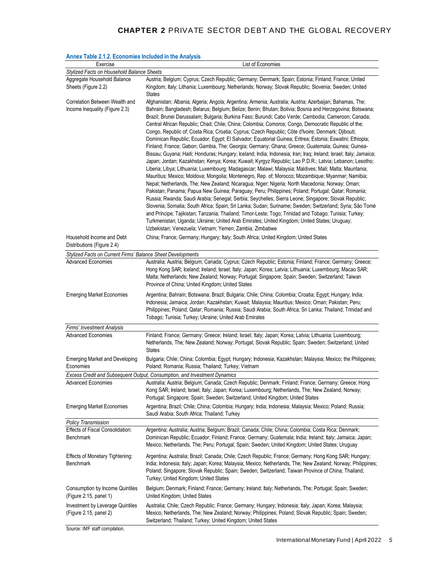| Affliex Table 2.1.2. Economies included in the Analysis                   |                                                                                                                                                                                                                                                                                                                                                                                                                                                                                                                                                                                                                                                                                                                                                                                                                                                                                                                                                                                                                           |  |
|---------------------------------------------------------------------------|---------------------------------------------------------------------------------------------------------------------------------------------------------------------------------------------------------------------------------------------------------------------------------------------------------------------------------------------------------------------------------------------------------------------------------------------------------------------------------------------------------------------------------------------------------------------------------------------------------------------------------------------------------------------------------------------------------------------------------------------------------------------------------------------------------------------------------------------------------------------------------------------------------------------------------------------------------------------------------------------------------------------------|--|
| Exercise                                                                  | List of Economies                                                                                                                                                                                                                                                                                                                                                                                                                                                                                                                                                                                                                                                                                                                                                                                                                                                                                                                                                                                                         |  |
| Stylized Facts on Household Balance Sheets                                |                                                                                                                                                                                                                                                                                                                                                                                                                                                                                                                                                                                                                                                                                                                                                                                                                                                                                                                                                                                                                           |  |
| Aggregate Household Balance<br>Sheets (Figure 2.2)                        | Austria; Belgium; Cyprus; Czech Republic; Germany; Denmark; Spain; Estonia; Finland; France; United<br>Kingdom; Italy; Lithania; Luxembourg; Netherlands; Norway; Slovak Republic; Slovenia; Sweden; United<br><b>States</b>                                                                                                                                                                                                                                                                                                                                                                                                                                                                                                                                                                                                                                                                                                                                                                                              |  |
| Correlation Between Wealth and<br>Income Inequality (Figure 2.3)          | Afghanistan; Albania; Algeria; Angola; Argentina; Armenia; Australia; Austria; Azerbaijan; Bahamas, The;<br>Bahrain; Bangladesh; Belarus; Belgium; Belize; Benin; Bhutan; Bolivia; Bosnia and Herzegovina; Botswana;<br>Brazil; Brunei Darussalam; Bulgaria; Burkina Faso; Burundi; Cabo Verde; Cambodia; Cameroon; Canada;<br>Central African Republic; Chad; Chile; China; Colombia; Comoros; Congo, Democratic Republic of the;<br>Congo, Republic of; Costa Rica; Croatia; Cyprus; Czech Republic; Côte d'Ivoire; Denmark; Djibouti;<br>Dominican Republic; Ecuador; Egypt; El Salvador; Equatorial Guinea; Eritrea; Estonia; Eswatini; Ethiopia;<br>Finland; France; Gabon; Gambia, The; Georgia; Germany; Ghana; Greece; Guatemala; Guinea; Guinea-<br>Bissau; Guyana; Haiti; Honduras; Hungary; Iceland; India; Indonesia; Iran; Iraq; Ireland; Israel; Italy; Jamaica;                                                                                                                                            |  |
|                                                                           | Japan; Jordan; Kazakhstan; Kenya; Korea; Kuwait; Kyrgyz Republic; Lao P.D.R.; Latvia; Lebanon; Lesotho;<br>Liberia; Libya; Lithuania; Luxembourg; Madagascar; Malawi; Malaysia; Maldives; Mali; Malta; Mauritania;<br>Mauritius; Mexico; Moldova; Mongolia; Montenegro, Rep. of; Morocco; Mozambique; Myanmar; Namibia;<br>Nepal; Netherlands, The; New Zealand; Nicaragua; Niger; Nigeria; North Macedonia; Norway; Oman;<br>Pakistan; Panama; Papua New Guinea; Paraguay; Peru; Philippines; Poland; Portugal; Qatar; Romania;<br>Russia; Rwanda; Saudi Arabia; Senegal; Serbia; Seychelles; Sierra Leone; Singapore; Slovak Republic;<br>Slovenia; Somalia; South Africa; Spain; Sri Lanka; Sudan; Suriname; Sweden; Switzerland; Syria; São Tomé<br>and Príncipe; Tajikistan; Tanzania; Thailand; Timor-Leste; Togo; Trinidad and Tobago; Tunisia; Turkey;<br>Turkmenistan; Uganda; Ukraine; United Arab Emirates; United Kingdom; United States; Uruguay;<br>Uzbekistan; Venezuela; Vietnam; Yemen; Zambia; Zimbabwe |  |
| Household Income and Debt<br>Distributions (Figure 2.4)                   | China; France; Germany; Hungary; Italy; South Africa; United Kingdom; United States                                                                                                                                                                                                                                                                                                                                                                                                                                                                                                                                                                                                                                                                                                                                                                                                                                                                                                                                       |  |
| Stylized Facts on Current Firms' Balance Sheet Developments               |                                                                                                                                                                                                                                                                                                                                                                                                                                                                                                                                                                                                                                                                                                                                                                                                                                                                                                                                                                                                                           |  |
| <b>Advanced Economies</b>                                                 | Australia; Austria; Belgium; Canada; Cyprus; Czech Republic; Estonia; Finland; France; Germany; Greece;<br>Hong Kong SAR; Iceland; Ireland; Israel; Italy; Japan; Korea; Latvia; Lithuania; Luxembourg; Macao SAR;<br>Malta; Netherlands; New Zealand; Norway; Portugal; Singapore; Spain; Sweden; Switzerland; Taiwan<br>Province of China; United Kingdom; United States                                                                                                                                                                                                                                                                                                                                                                                                                                                                                                                                                                                                                                                |  |
| <b>Emerging Market Economies</b>                                          | Argentina; Bahrain; Botswana; Brazil; Bulgaria; Chile; China; Colombia; Croatia; Egypt; Hungary; India;<br>Indonesia; Jamaica; Jordan; Kazakhstan; Kuwait; Malaysia; Mauritius; Mexico; Oman; Pakistan; Peru;<br>Philippines; Poland; Qatar; Romania; Russia; Saudi Arabia; South Africa; Sri Lanka; Thailand; Trinidad and<br>Tobago; Tunisia; Turkey; Ukraine; United Arab Emirates                                                                                                                                                                                                                                                                                                                                                                                                                                                                                                                                                                                                                                     |  |
|                                                                           |                                                                                                                                                                                                                                                                                                                                                                                                                                                                                                                                                                                                                                                                                                                                                                                                                                                                                                                                                                                                                           |  |
| Firms' Investment Analysis                                                |                                                                                                                                                                                                                                                                                                                                                                                                                                                                                                                                                                                                                                                                                                                                                                                                                                                                                                                                                                                                                           |  |
| <b>Advanced Economies</b>                                                 | Finland; France; Germany; Greece; Ireland; Israel; Italy; Japan; Korea; Latvia; Lithuania; Luxembourg;<br>Netherlands, The; New Zealand; Norway; Portugal; Slovak Republic; Spain; Sweden; Switzerland; United<br><b>States</b>                                                                                                                                                                                                                                                                                                                                                                                                                                                                                                                                                                                                                                                                                                                                                                                           |  |
| <b>Emerging Market and Developing</b><br>Economies                        | Bulgaria; Chile; China; Colombia; Egypt; Hungary; Indonesia; Kazakhstan; Malaysia; Mexico; the Philippines;<br>Poland; Romania; Russia; Thailand; Turkey; Vietnam                                                                                                                                                                                                                                                                                                                                                                                                                                                                                                                                                                                                                                                                                                                                                                                                                                                         |  |
| Excess Credit and Subsequent Output, Consumption, and Investment Dynamics |                                                                                                                                                                                                                                                                                                                                                                                                                                                                                                                                                                                                                                                                                                                                                                                                                                                                                                                                                                                                                           |  |
|                                                                           | Advanced Economies Australia; Austria; Belgium; Canada; Czech Republic; Denmark; Finland; France; Germany; Greece; Hong<br>Kong SAR; Ireland; Israel; Italy; Japan; Korea; Luxembourg; Netherlands, The; New Zealand; Norway;<br>Portugal; Singapore; Spain; Sweden; Switzerland; United Kingdom; United States                                                                                                                                                                                                                                                                                                                                                                                                                                                                                                                                                                                                                                                                                                           |  |
| <b>Emerging Market Economies</b>                                          | Argentina; Brazil; Chile; China; Colombia; Hungary; India; Indonesia; Malaysia; Mexico; Poland; Russia;<br>Saudi Arabia; South Africa; Thailand; Turkey                                                                                                                                                                                                                                                                                                                                                                                                                                                                                                                                                                                                                                                                                                                                                                                                                                                                   |  |
| <b>Policy Transmission</b>                                                |                                                                                                                                                                                                                                                                                                                                                                                                                                                                                                                                                                                                                                                                                                                                                                                                                                                                                                                                                                                                                           |  |
| Effects of Fiscal Consolidation:<br><b>Benchmark</b>                      | Argentina; Australia; Austria; Belgium; Brazil; Canada; Chile; China; Colombia; Costa Rica; Denmark;<br>Dominican Republic; Ecuador; Finland; France; Germany; Guatemala; India; Ireland; Italy; Jamaica; Japan;<br>Mexico; Netherlands, The; Peru; Portugal; Spain; Sweden; United Kingdom; United States; Uruguay                                                                                                                                                                                                                                                                                                                                                                                                                                                                                                                                                                                                                                                                                                       |  |
| <b>Effects of Monetary Tightening:</b><br><b>Benchmark</b>                | Argentina; Australia; Brazil; Canada; Chile; Czech Republic; France; Germany; Hong Kong SAR; Hungary;<br>India; Indonesia; Italy; Japan; Korea; Malaysia; Mexico; Netherlands, The; New Zealand; Norway; Philippines;<br>Poland; Singapore; Slovak Republic; Spain; Sweden; Switzerland; Taiwan Province of China; Thailand;<br>Turkey; United Kingdom; United States                                                                                                                                                                                                                                                                                                                                                                                                                                                                                                                                                                                                                                                     |  |
| Consumption by Income Quintiles<br>(Figure 2.15, panel 1)                 | Belgium; Denmark; Finland; France; Germany; Ireland; Italy; Netherlands, The; Portugal; Spain; Sweden;<br>United Kingdom; United States                                                                                                                                                                                                                                                                                                                                                                                                                                                                                                                                                                                                                                                                                                                                                                                                                                                                                   |  |
| Investment by Leverage Quintiles<br>(Figure 2.15, panel 2)                | Australia; Chile; Czech Republic; France; Germany; Hungary; Indonesia; Italy; Japan; Korea; Malaysia;<br>Mexico; Netherlands, The; New Zealand; Norway; Philippines; Poland; Slovak Republic; Spain; Sweden;<br>Switzerland; Thailand; Turkey; United Kingdom; United States                                                                                                                                                                                                                                                                                                                                                                                                                                                                                                                                                                                                                                                                                                                                              |  |

## **Annex Table 2.1.2. Economies Included in the Analysis**

Source: IMF staff compilation.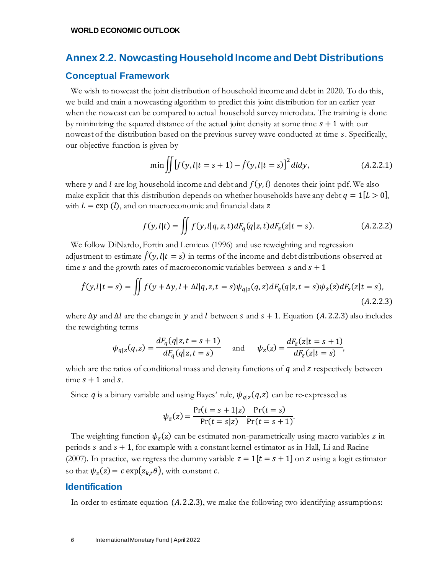## **Annex 2.2. Nowcasting Household Income and Debt Distributions**

## **Conceptual Framework**

We wish to nowcast the joint distribution of household income and debt in 2020. To do this, we build and train a nowcasting algorithm to predict this joint distribution for an earlier year when the nowcast can be compared to actual household survey microdata. The training is done by minimizing the squared distance of the actual joint density at some time  $s + 1$  with our nowcast of the distribution based on the previous survey wave conducted at time  $s$ . Specifically, our objective function is given by

$$
\min \iint [f(y, l|t = s + 1) - \hat{f}(y, l|t = s)]^2 dl dy, \tag{A.2.2.1}
$$

where y and l are log household income and debt and  $f(y, l)$  denotes their joint pdf. We also make explicit that this distribution depends on whether households have any debt  $q = 1[L > 0]$ , with  $L = \exp(l)$ , and on macroeconomic and financial data z

$$
f(y, l|t) = \iint f(y, l|q, z, t) dF_q(q|z, t) dF_z(z|t = s).
$$
 (A.2.2.2)

We follow DiNardo, Fortin and Lemieux (1996) and use reweighting and regression adjustment to estimate  $\hat{f}(y, l|t = s)$  in terms of the income and debt distributions observed at time s and the growth rates of macroeconomic variables between  $s$  and  $s + 1$ 

$$
\hat{f}(y, l|t = s) = \iint f(y + \Delta y, l + \Delta l|q, z, t = s)\psi_{q|z}(q, z) dF_q(q|z, t = s)\psi_z(z) dF_z(z|t = s),
$$
\n(A.2.2.3)

where  $\Delta y$  and  $\Delta l$  are the change in y and l between s and  $s + 1$ . Equation (A.2.2.3) also includes the reweighting terms

$$
\psi_{q|z}(q,z) = \frac{dF_q(q|z,t=s+1)}{dF_q(q|z,t=s)} \quad \text{and} \quad \psi_z(z) = \frac{dF_z(z|t=s+1)}{dF_z(z|t=s)},
$$

which are the ratios of conditional mass and density functions of  $q$  and  $z$  respectively between time  $s + 1$  and  $s$ .

Since q is a binary variable and using Bayes' rule,  $\psi_{q|z}(q, z)$  can be re-expressed as

$$
\psi_z(z) = \frac{\Pr(t = s + 1|z)}{\Pr(t = s|z)} \frac{\Pr(t = s)}{\Pr(t = s + 1)}.
$$

The weighting function  $\psi_z(z)$  can be estimated non-parametrically using macro variables z in periods  $s$  and  $s + 1$ , for example with a constant kernel estimator as in Hall, Li and Racine (2007). In practice, we regress the dummy variable  $\tau = 1[t = s + 1]$  on z using a logit estimator so that  $\psi_z(z) = c \exp(z_{k,t}\theta)$ , with constant  $c$ .

## **Identification**

In order to estimate equation  $(A.2.2.3)$ , we make the following two identifying assumptions: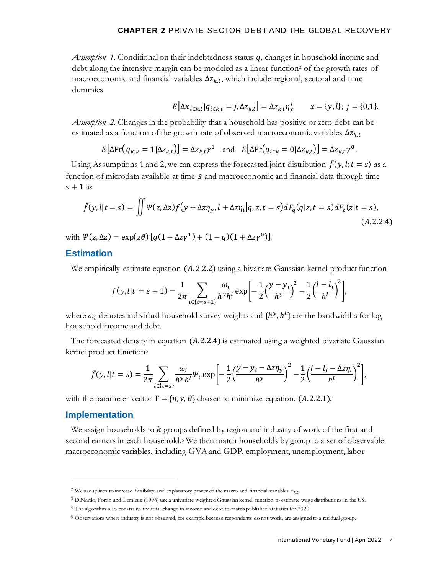*Assumption 1.* Conditional on their indebtedness status  $q$ , changes in household income and debt along the intensive margin can be modeled as a linear function<sup>2</sup> of the growth rates of macroeconomic and financial variables  $\Delta z_{k,t}$ , which include regional, sectoral and time dummies

$$
E\big[\Delta x_{i\in k,t} | q_{i\in k,t} = j, \Delta z_{k,t}\big] = \Delta z_{k,t} \eta_x^j \qquad x = \{y, l\}; j = \{0, 1\}.
$$

*Assumption 2.* Changes in the probability that a household has positive or zero debt can be estimated as a function of the growth rate of observed macroeconomic variables  $\Delta z_{k,t}$ 

$$
E[\Delta \Pr(q_{i \in k} = 1 | \Delta z_{k,t})] = \Delta z_{k,t} \gamma^1 \quad \text{and} \quad E[\Delta \Pr(q_{i \in k} = 0 | \Delta z_{k,t})] = \Delta z_{k,t} \gamma^0.
$$

Using Assumptions 1 and 2, we can express the forecasted joint distribution  $\hat{f}(y, l; t = s)$  as a function of microdata available at time  $s$  and macroeconomic and financial data through time  $s + 1$  as

$$
\hat{f}(y, l|t = s) = \iint \Psi(z, \Delta z) f(y + \Delta z \eta_y, l + \Delta z \eta_l | q, z, t = s) dF_q(q|z, t = s) dF_z(z|t = s),
$$
\n(A.2.2.4)

with  $\Psi(z, \Delta z) = \exp(z\theta) [q(1 + \Delta z\gamma^1) + (1 - q)(1 + \Delta z\gamma^0)].$ 

## **Estimation**

We empirically estimate equation  $(A.2.2.2)$  using a bivariate Gaussian kernel product function

$$
f(y, l|t = s + 1) = \frac{1}{2\pi} \sum_{i \in \{t = s + 1\}} \frac{\omega_i}{h^y h^l} \exp\left[-\frac{1}{2} \left(\frac{y - y_i}{h^y}\right)^2 - \frac{1}{2} \left(\frac{l - l_i}{h^l}\right)^2\right],
$$

where  $\omega_i$  denotes individual household survey weights and  $\{h^y, h^l\}$  are the bandwidths for log household income and debt.

The forecasted density in equation  $(A.2.2.4)$  is estimated using a weighted bivariate Gaussian kernel product function<sup>3</sup>

$$
\hat{f}(y,l|t=s) = \frac{1}{2\pi} \sum_{i \in \{t=s\}} \frac{\omega_i}{h^y h^l} \psi_i \exp\left[-\frac{1}{2} \left(\frac{y - y_i - \Delta z \eta_y}{h^y}\right)^2 - \frac{1}{2} \left(\frac{l - l_i - \Delta z \eta_l}{h^l}\right)^2\right],
$$

with the parameter vector  $\Gamma = \{\eta, \gamma, \theta\}$  chosen to minimize equation. (A.2.2.1).<sup>4</sup>

#### **Implementation**

We assign households to  $k$  groups defined by region and industry of work of the first and second earners in each household.<sup>5</sup> We then match households by group to a set of observable macroeconomic variables, including GVA and GDP, employment, unemployment, labor

<sup>&</sup>lt;sup>2</sup> We use splines to increase flexibility and explanatory power of the macro and financial variables  $z_{kt}$ .

<sup>3</sup> DiNardo, Fortin and Lemieux (1996) use a univariate weighted Gaussian kernel function to estimate wage distributions in the US.

<sup>4</sup> The algorithm also constrains the total change in income and debt to match published statistics for 2020.

<sup>5</sup> Observations where industry is not observed, for example because respondents do not work, are assigned to a residual group.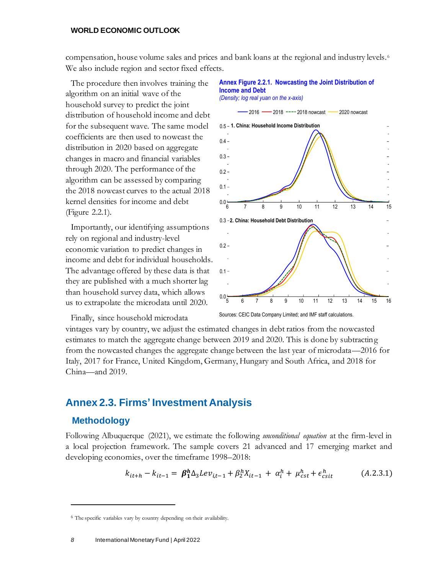compensation, house volume sales and prices and bank loans at the regional and industry levels. <sup>6</sup> We also include region and sector fixed effects.

**Income and Debt**

The procedure then involves training the algorithm on an initial wave of the household survey to predict the joint distribution of household income and debt for the subsequent wave. The same model coefficients are then used to nowcast the distribution in 2020 based on aggregate changes in macro and financial variables through 2020. The performance of the algorithm can be assessed by comparing the 2018 nowcast curves to the actual 2018 kernel densities for income and debt (Figure 2.2.1).

Importantly, our identifying assumptions rely on regional and industry-level economic variation to predict changes in income and debt for individual households. The advantage offered by these data is that they are published with a much shorter lag than household survey data, which allows us to extrapolate the microdata until 2020.

Finally, since household microdata



**Annex Figure 2.2.1. Nowcasting the Joint Distribution of** 

vintages vary by country, we adjust the estimated changes in debt ratios from the nowcasted estimates to match the aggregate change between 2019 and 2020. This is done by subtracting from the nowcasted changes the aggregate change between the last year of microdata—2016 for Italy, 2017 for France, United Kingdom, Germany, Hungary and South Africa, and 2018 for China—and 2019.

# **Annex 2.3. Firms' Investment Analysis**

## **Methodology**

Following Albuquerque (2021), we estimate the following *unconditional equation* at the firm-level in a local projection framework. The sample covers 21 advanced and 17 emerging market and developing economies, over the timeframe 1998–2018:

$$
k_{it+h} - k_{it-1} = \beta_1^h \Delta_3 L e v_{i,t-1} + \beta_2^h X_{it-1} + \alpha_i^h + \mu_{cst}^h + \epsilon_{csit}^h \tag{A.2.3.1}
$$

<sup>6</sup> The specific variables vary by country depending on their availability.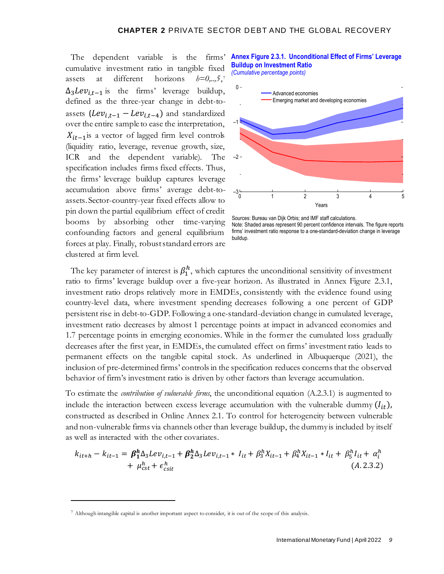The dependent variable is the firms' cumulative investment ratio in tangible fixed assets at different horizons  $h=0,...5.7$  $\Delta_3Lev_{i,t-1}$  is the firms' leverage buildup, defined as the three-year change in debt-toassets  $(Lev_{i,t-1} - Lev_{i,t-4})$  and standardized over the entire sample to ease the interpretation,  $X_{it-1}$  is a vector of lagged firm level controls (liquidity ratio, leverage, revenue growth, size, ICR and the dependent variable). The specification includes firms fixed effects. Thus, the firms' leverage buildup captures leverage accumulation above firms' average debt-toassets. Sector-country-year fixed effects allow to pin down the partial equilibrium effect of credit booms by absorbing other time-varying confounding factors and general equilibrium forces at play. Finally, robust standard errors are clustered at firm level.

**Annex Figure 2.3.1. Unconditional Effect of Firms' Leverage Buildup on Investment Ratio**

*(Cumulative percentage points)*



Sources: Bureau van Dijk Orbis; and IMF staff calculations. Note: Shaded areas represent 90 percent confidence intervals. The figure reports firms' investment ratio response to a one-standard-deviation change in leverage buildup.

The key parameter of interest is  $\beta_1^h$ , which captures the unconditional sensitivity of investment ratio to firms' leverage buildup over a five-year horizon. As illustrated in Annex Figure 2.3.1, investment ratio drops relatively more in EMDEs, consistently with the evidence found using country-level data, where investment spending decreases following a one percent of GDP persistent rise in debt-to-GDP. Following a one-standard-deviation change in cumulated leverage, investment ratio decreases by almost 1 percentage points at impact in advanced economies and 1.7 percentage points in emerging economies. While in the former the cumulated loss gradually decreases after the first year, in EMDEs, the cumulated effect on firms' investment ratio leads to permanent effects on the tangible capital stock. As underlined in Albuquerque (2021), the inclusion of pre-determined firms' controls in the specification reduces concerns that the observed behavior of firm's investment ratio is driven by other factors than leverage accumulation.

To estimate the *contribution of vulnerable firms*, the unconditional equation (A.2.3.1) is augmented to include the interaction between excess leverage accumulation with the vulnerable dummy  $(I_{it})$ , constructed as described in Online Annex 2.1. To control for heterogeneity between vulnerable and non-vulnerable firms via channels other than leverage buildup, the dummy is included by itself as well as interacted with the other covariates.

$$
k_{it+h} - k_{it-1} = \beta_1^h \Delta_3 L e v_{i,t-1} + \beta_2^h \Delta_3 L e v_{i,t-1} * I_{it} + \beta_3^h X_{it-1} + \beta_4^h X_{it-1} * I_{it} + \beta_5^h I_{it} + \alpha_i^h
$$
  
+  $\mu_{cst}^h + \epsilon_{csit}^h$  (A.2.3.2)

<sup>7</sup> Although intangible capital is another important aspect to consider, it is out of the scope of this analysis.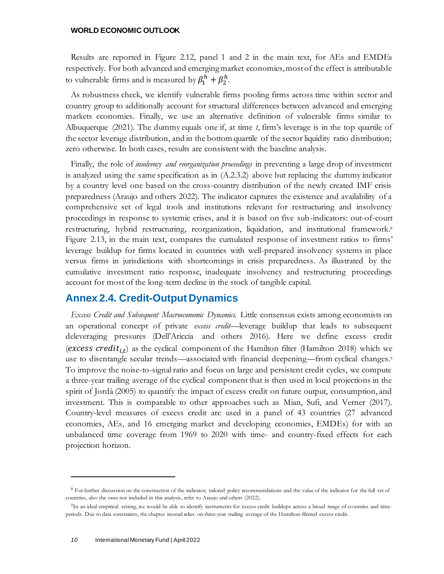Results are reported in Figure 2.12, panel 1 and 2 in the main text, for AEs and EMDEs respectively. For both advanced and emerging market economies, mostof the effect is attributable to vulnerable firms and is measured by  $\beta_1^h + \beta_2^h$ .

As robustness check, we identify vulnerable firms pooling firms across time within sector and country group to additionally account for structural differences between advanced and emerging markets economies. Finally, we use an alternative definition of vulnerable firms similar to Albuquerque (2021). The dummy equals one if, at time *t*, firm's leverage is in the top quartile of the sector leverage distribution, and in the bottom quartile of the sector liquidity ratio distribution; zero otherwise. In both cases, results are consistent with the baseline analysis.

Finally, the role of *insolvency and reorganization proceedings* in preventing a large drop of investment is analyzed using the same specification as in (A.2.3.2) above but replacing the dummy indicator by a country level one based on the cross-country distribution of the newly created IMF crisis preparedness (Araujo and others 2022). The indicator captures the existence and availability of a comprehensive set of legal tools and institutions relevant for restructuring and insolvency proceedings in response to systemic crises, and it is based on five sub-indicators: out-of-court restructuring, hybrid restructuring, reorganization, liquidation, and institutional framework. 8 Figure 2.13, in the main text, compares the cumulated response of investment ratios to firms' leverage buildup for firms located in countries with well-prepared insolvency systems in place versus firms in jurisdictions with shortcomings in crisis preparedness. As illustrated by the cumulative investment ratio response, inadequate insolvency and restructuring proceedings account for most of the long-term decline in the stock of tangible capital.

## **Annex 2.4. Credit-Output Dynamics**

*Excess Credit and Subsequent Macroeconomic Dynamics.* Little consensus exists among economists on an operational concept of private *excess credit*—leverage buildup that leads to subsequent deleveraging pressures (Dell'Ariccia and others 2016). Here we define excess credit (excess credit<sub>i,t</sub>) as the cyclical component of the Hamilton filter (Hamilton 2018) which we use to disentangle secular trends—associated with financial deepening—from cyclical changes.<sup>9</sup> To improve the noise-to-signal ratio and focus on large and persistent credit cycles, we compute a three-year trailing average of the cyclical component that is then used in local projections in the spirit of Jordà (2005) to quantify the impact of excess credit on future output, consumption, and investment. This is comparable to other approaches such as Mian, Sufi, and Verner (2017). Country-level measures of excess credit are used in a panel of 43 countries (27 advanced economies, AEs, and 16 emerging market and developing economies, EMDEs) for with an unbalanced time coverage from 1969 to 2020 with time- and country-fixed effects for each projection horizon.

<sup>&</sup>lt;sup>8</sup> For further discussion on the construction of the indicator, tailored policy recommendations and the value of the indicator for the full set of countries, also the ones not included in this analysis, refer to Araujo and others (2022).

<sup>&</sup>lt;sup>9</sup>In an ideal empirical setting, we would be able to identify instruments for excess credit buildups across a broad range of countries and timeperiods. Due to data constraints, the chapter instead relies on three-year trailing average of the Hamilton-filtered excess credit.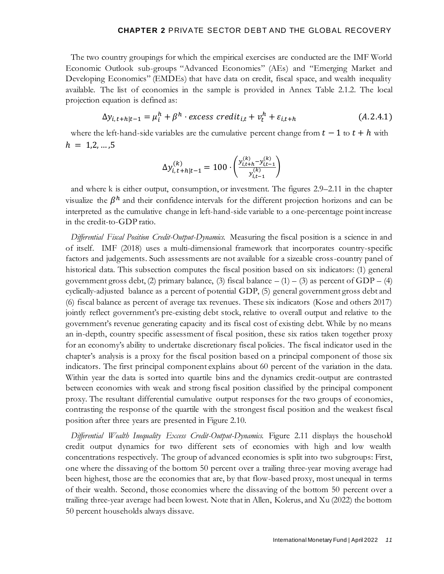The two country groupings for which the empirical exercises are conducted are the IMF World Economic Outlook sub-groups "Advanced Economies" (AEs) and "Emerging Market and Developing Economics" (EMDEs) that have data on credit, fiscal space, and wealth inequality available. The list of economies in the sample is provided in Annex Table 2.1.2. The local projection equation is defined as:

$$
\Delta y_{i,t+h|t-1} = \mu_i^h + \beta^h \cdot excess\,credit_{i,t} + v_t^h + \varepsilon_{i,t+h} \tag{A.2.4.1}
$$

where the left-hand-side variables are the cumulative percent change from  $t - 1$  to  $t + h$  with  $h = 1, 2, ..., 5$ 

$$
\Delta y_{i, t+h|t-1}^{(k)} = 100 \cdot \left( \frac{y_{i, t+h}^{(k)} - y_{i, t-1}^{(k)}}{y_{i, t-1}^{(k)}} \right)
$$

and where k is either output, consumption, or investment. The figures 2.9–2.11 in the chapter visualize the  $\beta^h$  and their confidence intervals for the different projection horizons and can be interpreted as the cumulative change in left-hand-side variable to a one-percentage point increase in the credit-to-GDP ratio.

*Differential Fiscal Position Credit-Output-Dynamics.* Measuring the fiscal position is a science in and of itself. IMF (2018) uses a multi-dimensional framework that incorporates country-specific factors and judgements. Such assessments are not available for a sizeable cross-country panel of historical data. This subsection computes the fiscal position based on six indicators: (1) general government gross debt, (2) primary balance, (3) fiscal balance  $- (1) - (3)$  as percent of GDP – (4) cyclically-adjusted balance as a percent of potential GDP, (5) general government gross debt and (6) fiscal balance as percent of average tax revenues. These six indicators (Kose and others 2017) jointly reflect government's pre-existing debt stock, relative to overall output and relative to the government's revenue generating capacity and its fiscal cost of existing debt. While by no means an in-depth, country specific assessment of fiscal position, these six ratios taken together proxy for an economy's ability to undertake discretionary fiscal policies. The fiscal indicator used in the chapter's analysis is a proxy for the fiscal position based on a principal component of those six indicators. The first principal component explains about 60 percent of the variation in the data. Within year the data is sorted into quartile bins and the dynamics credit-output are contrasted between economies with weak and strong fiscal position classified by the principal component proxy. The resultant differential cumulative output responses for the two groups of economies, contrasting the response of the quartile with the strongest fiscal position and the weakest fiscal position after three years are presented in Figure 2.10.

*Differential Wealth Inequality Excess Credit-Output-Dynamics.* Figure 2.11 displays the household credit output dynamics for two different sets of economies with high and low wealth concentrations respectively. The group of advanced economies is split into two subgroups: First, one where the dissaving of the bottom 50 percent over a trailing three-year moving average had been highest, those are the economies that are, by that flow-based proxy, most unequal in terms of their wealth. Second, those economies where the dissaving of the bottom 50 percent over a trailing three-year average had been lowest. Note that in Allen, Kolerus, and Xu (2022) the bottom 50 percent households always dissave.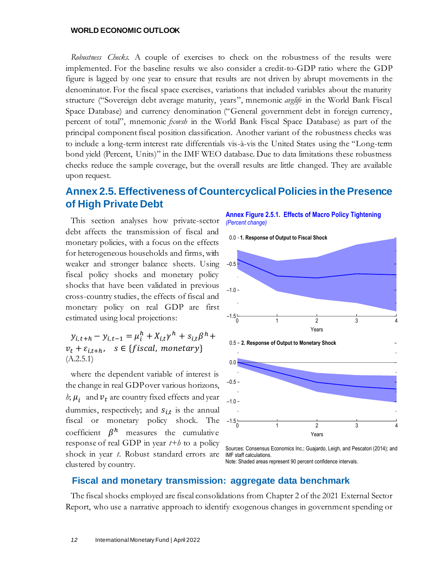*Robustness Checks.* A couple of exercises to check on the robustness of the results were implemented. For the baseline results we also consider a credit-to-GDP ratio where the GDP figure is lagged by one year to ensure that results are not driven by abrupt movements in the denominator. For the fiscal space exercises, variations that included variables about the maturity structure ("Sovereign debt average maturity, years", mnemonic *avglife* in the World Bank Fiscal Space Database) and currency denomination ("General government debt in foreign currency, percent of total", mnemonic *fxovsh* in the World Bank Fiscal Space Database) as part of the principal component fiscal position classification. Another variant of the robustness checks was to include a long-term interest rate differentials vis-à-vis the United States using the "Long-term bond yield (Percent, Units)" in the IMF WEO database. Due to data limitations these robustness checks reduce the sample coverage, but the overall results are little changed. They are available upon request.

# **Annex 2.5. Effectiveness of Countercyclical Policies in the Presence of High Private Debt**

This section analyses how private-sector debt affects the transmission of fiscal and monetary policies, with a focus on the effects for heterogeneous households and firms, with weaker and stronger balance sheets. Using fiscal policy shocks and monetary policy shocks that have been validated in previous cross-country studies, the effects of fiscal and monetary policy on real GDP are first estimated using local projections:

 $y_{i, t+h} - y_{i, t-1} = \mu_i^h + X_{i, t} \gamma^h + s_{i, t} \beta^h +$  $v_t + \varepsilon_{i,t+h}$ ,  $s \in \{f is cal, monetary\}$  $(A.2.5.1)$ 

where the dependent variable of interest is the change in real GDP over various horizons, *h*;  $\mu_i$  and  $\nu_t$  are country fixed effects and year dummies, respectively; and  $s_{i,t}$  is the annual fiscal or monetary policy shock. The coefficient  $\beta^h$  measures the cumulative response of real GDP in year *t+h* to a policy shock in year *t*. Robust standard errors are clustered by country.

**Annex Figure 2.5.1. Effects of Macro Policy Tightening** *(Percent change)*



Sources: Consensus Economics Inc.; Guajardo, Leigh, and Pescatori (2014); and IMF staff calculations.

#### Note: Shaded areas represent 90 percent confidence intervals.

#### **Fiscal and monetary transmission: aggregate data benchmark**

The fiscal shocks employed are fiscal consolidations from Chapter 2 of the 2021 External Sector Report, who use a narrative approach to identify exogenous changes in government spending or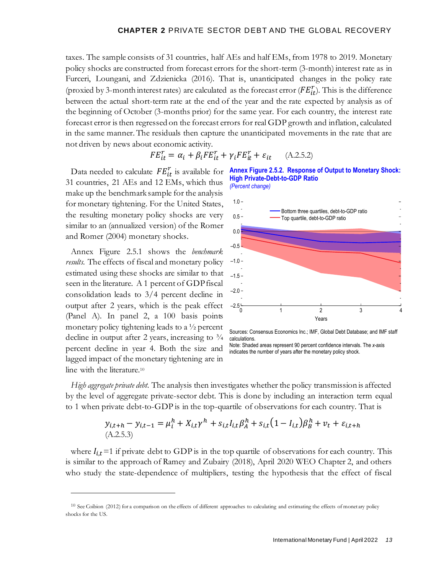taxes. The sample consists of 31 countries, half AEs and half EMs, from 1978 to 2019. Monetary policy shocks are constructed from forecast errors for the short-term (3-month) interest rate as in Furceri, Loungani, and Zdzienicka (2016). That is, unanticipated changes in the policy rate (proxied by 3-month interest rates) are calculated as the forecast error ( $FE^r_{it}$ ). This is the difference between the actual short-term rate at the end of the year and the rate expected by analysis as of the beginning of October (3-months prior) for the same year. For each country, the interest rate forecast error is then regressed on the forecast errors for real GDP growth and inflation, calculated in the same manner. The residuals then capture the unanticipated movements in the rate that are not driven by news about economic activity.

$$
FE_{it}^{r} = \alpha_i + \beta_i FE_{it}^{r} + \gamma_i FE_{it}^{r} + \varepsilon_{it} \qquad (A.2.5.2)
$$

Data needed to calculate  $FE_{it}^r$  is available for 31 countries, 21 AEs and 12 EMs, which thus make up the benchmark sample for the analysis for monetary tightening. For the United States, the resulting monetary policy shocks are very similar to an (annualized version) of the Romer and Romer (2004) monetary shocks.

Annex Figure 2.5.1 shows the *benchmark results*. The effects of fiscal and monetary policy estimated using these shocks are similar to that seen in the literature. A 1 percent of GDP fiscal consolidation leads to 3/4 percent decline in output after 2 years, which is the peak effect (Panel A). In panel 2, a 100 basis points monetary policy tightening leads to a ½ percent decline in output after 2 years, increasing to  $\frac{3}{4}$ percent decline in year 4. Both the size and lagged impact of the monetary tightening are in line with the literature.<sup>10</sup>





Sources: Consensus Economics Inc.; IMF, Global Debt Database; and IMF staff calculations.

Note: Shaded areas represent 90 percent confidence intervals. The *x*-axis indicates the number of years after the monetary policy shock.

*High aggregate private debt.* The analysis then investigates whether the policy transmission is affected by the level of aggregate private-sector debt. This is done by including an interaction term equal to 1 when private debt-to-GDP is in the top-quartile of observations for each country. That is

$$
y_{i,t+h} - y_{i,t-1} = \mu_i^h + X_{i,t} \gamma^h + s_{i,t} I_{i,t} \beta_A^h + s_{i,t} (1 - I_{i,t}) \beta_B^h + v_t + \varepsilon_{i,t+h}
$$
  
(A.2.5.3)

where  $I_{it}$  =1 if private debt to GDP is in the top quartile of observations for each country. This is similar to the approach of Ramey and Zubairy (2018), April 2020 WEO Chapter 2, and others who study the state-dependence of multipliers, testing the hypothesis that the effect of fiscal

 $10$  See Coibion (2012) for a comparison on the effects of different approaches to calculating and estimating the effects of monetary policy shocks for the US.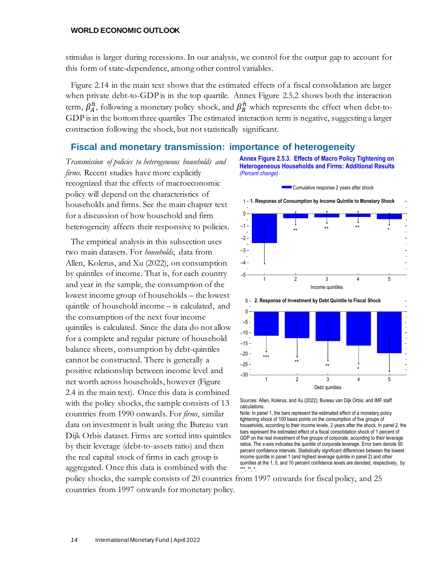stimulus is larger during recessions. In our analysis, we control for the output gap to account for this form of state-dependence, among other control variables.

Figure 2.14 in the main text shows that the estimated effects of a fiscal consolidation are larger when private debt-to-GDP is in the top quartile. Annex Figure 2.5.2 shows both the interaction term,  $\beta^h_A$ , following a monetary policy shock, and  $\beta^h_B$  which represents the effect when debt-to-GDP is in the bottom three quartiles The estimated interaction term is negative, suggesting a larger contraction following the shock, but not statistically significant.

#### **Fiscal and monetary transmission: importance of heterogeneity**

*Transmission of policies to heterogeneous households and firms.* Recent studies have more explicitly recognized that the effects of macroeconomic policy will depend on the characteristics of households and firms. See the main chapter text for a discussion of how household and firm heterogeneity affects their responsive to policies.

The empirical analysis in this subsection uses two main datasets. For *households*, data from Allen, Kolerus, and Xu (2022), on consumption by quintiles of income. That is, for each country and year in the sample, the consumption of the lowest income group of households – the lowest quintile of household income – is calculated, and the consumption of the next four income quintiles is calculated. Since the data do not allow for a complete and regular picture of household balance sheets, consumption by debt-quintiles cannot be constructed. There is generally a positive relationship between income level and net worth across households, however (Figure 2.4 in the main text). Once this data is combined with the policy shocks, the sample consists of 13 countries from 1990 onwards. For *firms*, similar data on investment is built using the Bureau van Dijk Orbis dataset. Firms are sorted into quintiles by their leverage (debt-to-assets ratio) and then the real capital stock of firms in each group is aggregated. Once this data is combined with the







Sources: Allen, Kolerus, and Xu (2022); Bureau van Dijk Orbis; and IMF staff calculations.

Note: In panel 1, the bars represent the estimated effect of a monetary policy tightening shock of 100 basis points on the consumption of five groups of households, according to their income levels, 2 years after the shock. In panel 2, the bars represent the estimated effect of a fiscal consolidation shock of 1 percent of GDP on the real investment of five groups of corporate, according to their leverage ratios. The *x*-axis indicates the quintile of corporate leverage. Error bars denote 90 percent confidence intervals. Statistically significant differences between the lowest income quintile in panel 1 (and highest leverage quintile in panel 2) and other quintiles at the 1, 5, and 10 percent confidence levels are denoted, respectively, by \*\*\*, \*\*, \*.

policy shocks, the sample consists of 20 countries from 1997 onwards for fiscal policy, and 25 countries from 1997 onwards for monetary policy.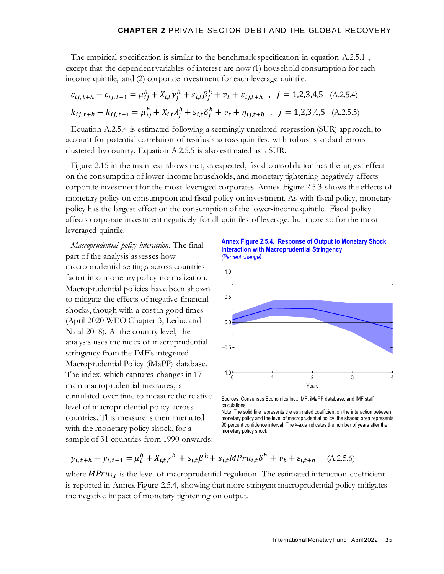The empirical specification is similar to the benchmark specification in equation A.2.5.1 , except that the dependent variables of interest are now (1) household consumption for each income quintile, and (2) corporate investment for each leverage quintile.

$$
c_{ij,t+h} - c_{ij,t-1} = \mu_{ij}^h + X_{i,t} \gamma_j^h + s_{i,t} \beta_j^h + v_t + \varepsilon_{ij,t+h} \quad , \quad j = 1,2,3,4,5 \quad \text{(A.2.5.4)}
$$
\n
$$
k_{ij,t+h} - k_{ij,t-1} = \mu_{ij}^h + X_{i,t} \lambda_j^h + s_{i,t} \delta_j^h + v_t + \eta_{ij,t+h} \quad , \quad j = 1,2,3,4,5 \quad \text{(A.2.5.5)}
$$

Equation A.2.5.4 is estimated following a seemingly unrelated regression (SUR) approach, to account for potential correlation of residuals across quintiles, with robust standard errors clustered by country. Equation A.2.5.5 is also estimated as a SUR.

Figure 2.15 in the main text shows that, as expected, fiscal consolidation has the largest effect on the consumption of lower-income households, and monetary tightening negatively affects corporate investment for the most-leveraged corporates. Annex Figure 2.5.3 shows the effects of monetary policy on consumption and fiscal policy on investment. As with fiscal policy, monetary policy has the largest effect on the consumption of the lower-income quintile. Fiscal policy affects corporate investment negatively for all quintiles of leverage, but more so for the most leveraged quintile.

*Macroprudential policy interaction*. The final part of the analysis assesses how macroprudential settings across countries factor into monetary policy normalization. Macroprudential policies have been shown to mitigate the effects of negative financial shocks, though with a cost in good times (April 2020 WEO Chapter 3; Leduc and Natal 2018). At the country level, the analysis uses the index of macroprudential stringency from the IMF's integrated Macroprudential Policy (iMaPP) database. The index, which captures changes in 17 main macroprudential measures, is cumulated over time to measure the relative level of macroprudential policy across countries. This measure is then interacted with the monetary policy shock, for a sample of 31 countries from 1990 onwards:

**Annex Figure 2.5.4. Response of Output to Monetary Shock Interaction with Macroprudential Stringency**  *(Percent change)*



Sources: Consensus Economics Inc.; IMF, iMaPP database; and IMF staff calculations.

Note: The solid line represents the estimated coefficient on the interaction between monetary policy and the level of macroprudential policy; the shaded area represents 90 percent confidence interval. The *x*-axis indicates the number of years after the monetary policy shock.

$$
y_{i,t+h} - y_{i,t-1} = \mu_i^h + X_{i,t} \gamma^h + s_{i,t} \beta^h + s_{i,t} M Pr u_{i,t} \delta^h + v_t + \varepsilon_{i,t+h} \quad (A.2.5.6)
$$

where  $MPru_{i,t}$  is the level of macroprudential regulation. The estimated interaction coefficient is reported in Annex Figure 2.5.4, showing that more stringent macroprudential policy mitigates the negative impact of monetary tightening on output.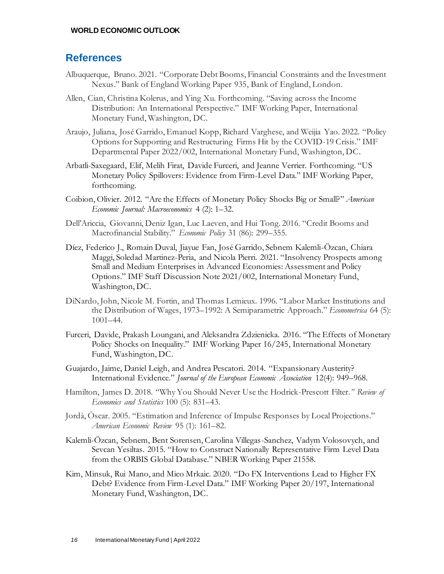## **References**

- Albuquerque, Bruno. 2021. "Corporate Debt Booms, Financial Constraints and the Investment Nexus." Bank of England Working Paper 935, Bank of England, London.
- Allen, Cian, Christina Kolerus, and Ying Xu. Forthcoming. "Saving across the Income Distribution: An International Perspective." IMF Working Paper, International Monetary Fund, Washington, DC.
- Araujo, Juliana, José Garrido, Emanuel Kopp, Richard Varghese, and Weijia Yao. 2022. "Policy Options for Supporting and Restructuring Firms Hit by the COVID-19 Crisis." IMF Departmental Paper 2022/002, International Monetary Fund, Washington, DC.
- Arbatli-Saxegaard, Elif, Melih Firat, Davide Furceri, and Jeanne Verrier. Forthcoming. "US Monetary Policy Spillovers: Evidence from Firm-Level Data." IMF Working Paper, forthcoming.
- Coibion, Olivier. 2012. "Are the Effects of Monetary Policy Shocks Big or Small?" *American Economic Journal: Macroeconomics* 4 (2): 1–32.
- Dell'Ariccia, Giovanni, Deniz Igan, Luc Laeven, and Hui Tong. 2016. "Credit Booms and Macrofinancial Stability." *Economic Policy* 31 (86): 299–355.
- Díez, Federico J., Romain Duval, Jiayue Fan, José Garrido, Sebnem Kalemli-Özcan, Chiara Maggi, Soledad Martinez-Peria, and Nicola Pierri. 2021. "Insolvency Prospects among Small and Medium Enterprises in Advanced Economies: Assessment and Policy Options." IMF Staff Discussion Note 2021/002, International Monetary Fund, Washington, DC.
- DiNardo, John, Nicole M. Fortin, and Thomas Lemieux. 1996. "Labor Market Institutions and the Distribution of Wages, 1973–1992: A Semiparametric Approach." *Econometrica* 64 (5): 1001–44.
- Furceri, Davide, Prakash Loungani, and Aleksandra Zdzienicka. 2016. "The Effects of Monetary Policy Shocks on Inequality." IMF Working Paper 16/245, International Monetary Fund, Washington, DC.
- Guajardo, Jaime, Daniel Leigh, and Andrea Pescatori. 2014. "Expansionary Austerity? International Evidence." *Journal of the European Economic Association* 12(4): 949–968.
- Hamilton, James D. 2018. "Why You Should Never Use the Hodrick-Prescott Filter*." Review of Economics and Statistics* 100 (5): 831–43.
- Jordà, Òscar. 2005. "Estimation and Inference of Impulse Responses by Local Projections." *American Economic Review* 95 (1): 161–82.
- Kalemli-Özcan, Sebnem, Bent Sorensen, Carolina Villegas-Sanchez, Vadym Volosovych, and Sevcan Yesiltas. 2015. "How to Construct Nationally Representative Firm Level Data from the ORBIS Global Database." NBER Working Paper 21558.
- Kim, Minsuk, Rui Mano, and Mico Mrkaic. 2020. "Do FX Interventions Lead to Higher FX Debt? Evidence from Firm-Level Data." IMF Working Paper 20/197, International Monetary Fund, Washington, DC.